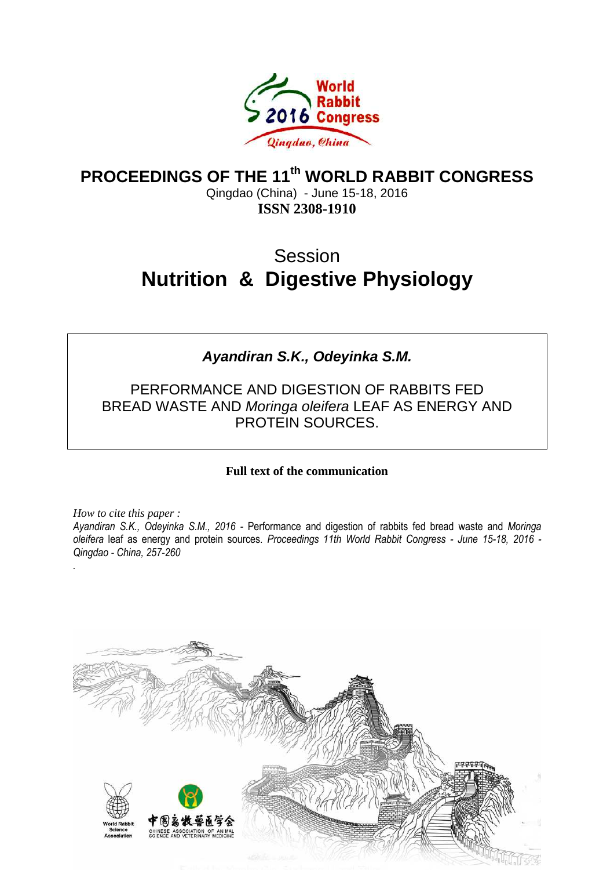

## **PROCEEDINGS OF THE 11th WORLD RABBIT CONGRESS**

Qingdao (China) - June 15-18, 2016 **ISSN 2308-1910**

# **Session Nutrition & Digestive Physiology**

## **Ayandiran S.K., Odeyinka S.M.**

PERFORMANCE AND DIGESTION OF RABBITS FED BREAD WASTE AND Moringa oleifera LEAF AS ENERGY AND PROTEIN SOURCES.

#### **Full text of the communication**

*How to cite this paper : Ayandiran S.K., Odeyinka S.M., 2016 -* Performance and digestion of rabbits fed bread waste and *Moringa oleifera* leaf as energy and protein sources. *Proceedings 11th World Rabbit Congress - June 15-18, 2016 - Qingdao - China, 257-260* 

*.*

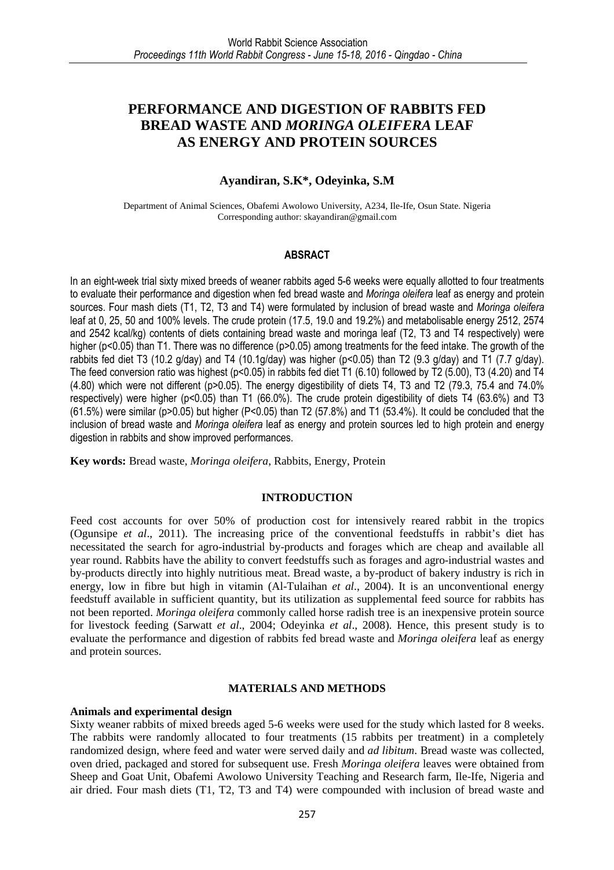### **PERFORMANCE AND DIGESTION OF RABBITS FED BREAD WASTE AND** *MORINGA OLEIFERA* **LEAF AS ENERGY AND PROTEIN SOURCES**

#### **Ayandiran, S.K\*, Odeyinka, S.M**

Department of Animal Sciences, Obafemi Awolowo University, A234, Ile-Ife, Osun State. Nigeria Corresponding author: skayandiran@gmail.com

#### **ABSRACT**

In an eight-week trial sixty mixed breeds of weaner rabbits aged 5-6 weeks were equally allotted to four treatments to evaluate their performance and digestion when fed bread waste and *Moringa oleifera* leaf as energy and protein sources. Four mash diets (T1, T2, T3 and T4) were formulated by inclusion of bread waste and *Moringa oleifera* leaf at 0, 25, 50 and 100% levels. The crude protein (17.5, 19.0 and 19.2%) and metabolisable energy 2512, 2574 and 2542 kcal/kg) contents of diets containing bread waste and moringa leaf (T2, T3 and T4 respectively) were higher (p<0.05) than T1. There was no difference (p>0.05) among treatments for the feed intake. The growth of the rabbits fed diet T3 (10.2 g/day) and T4 (10.1g/day) was higher (p<0.05) than T2 (9.3 g/day) and T1 (7.7 g/day). The feed conversion ratio was highest (p<0.05) in rabbits fed diet T1 (6.10) followed by T2 (5.00), T3 (4.20) and T4 (4.80) which were not different (p>0.05). The energy digestibility of diets T4, T3 and T2 (79.3, 75.4 and 74.0% respectively) were higher (p<0.05) than T1 (66.0%). The crude protein digestibility of diets T4 (63.6%) and T3 (61.5%) were similar (p>0.05) but higher (P<0.05) than T2 (57.8%) and T1 (53.4%). It could be concluded that the inclusion of bread waste and *Moringa oleifera* leaf as energy and protein sources led to high protein and energy digestion in rabbits and show improved performances.

**Key words:** Bread waste, *Moringa oleifera*, Rabbits, Energy, Protein

#### **INTRODUCTION**

Feed cost accounts for over 50% of production cost for intensively reared rabbit in the tropics (Ogunsipe *et al*., 2011). The increasing price of the conventional feedstuffs in rabbit's diet has necessitated the search for agro-industrial by-products and forages which are cheap and available all year round. Rabbits have the ability to convert feedstuffs such as forages and agro-industrial wastes and by-products directly into highly nutritious meat. Bread waste, a by-product of bakery industry is rich in energy, low in fibre but high in vitamin (Al-Tulaihan *et al*., 2004). It is an unconventional energy feedstuff available in sufficient quantity, but its utilization as supplemental feed source for rabbits has not been reported. *Moringa oleifera* commonly called horse radish tree is an inexpensive protein source for livestock feeding (Sarwatt *et al*., 2004; Odeyinka *et al*., 2008). Hence, this present study is to evaluate the performance and digestion of rabbits fed bread waste and *Moringa oleifera* leaf as energy and protein sources.

#### **MATERIALS AND METHODS**

#### **Animals and experimental design**

Sixty weaner rabbits of mixed breeds aged 5-6 weeks were used for the study which lasted for 8 weeks. The rabbits were randomly allocated to four treatments (15 rabbits per treatment) in a completely randomized design, where feed and water were served daily and *ad libitum*. Bread waste was collected, oven dried, packaged and stored for subsequent use. Fresh *Moringa oleifera* leaves were obtained from Sheep and Goat Unit, Obafemi Awolowo University Teaching and Research farm, Ile-Ife, Nigeria and air dried. Four mash diets (T1, T2, T3 and T4) were compounded with inclusion of bread waste and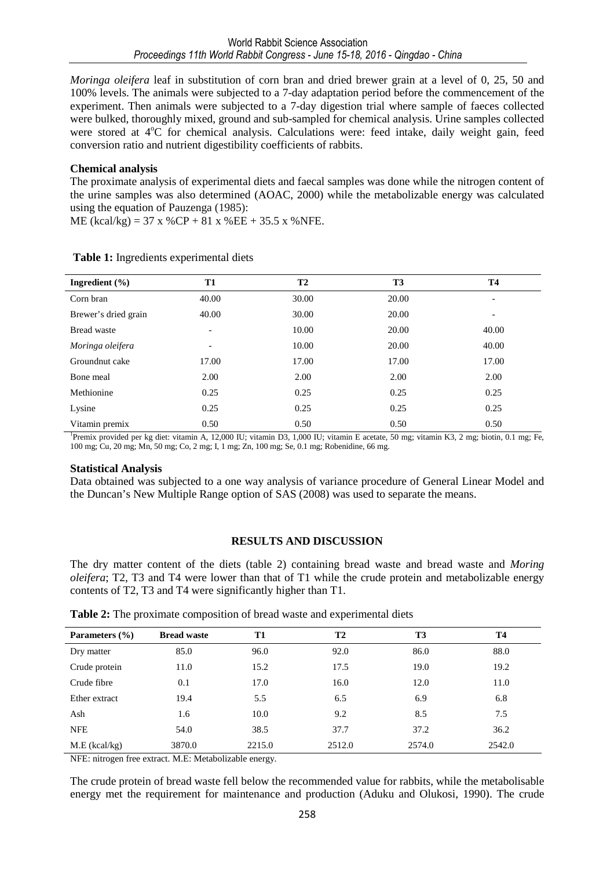*Moringa oleifera* leaf in substitution of corn bran and dried brewer grain at a level of 0, 25, 50 and 100% levels. The animals were subjected to a 7-day adaptation period before the commencement of the experiment. Then animals were subjected to a 7-day digestion trial where sample of faeces collected were bulked, thoroughly mixed, ground and sub-sampled for chemical analysis. Urine samples collected were stored at 4<sup>o</sup>C for chemical analysis. Calculations were: feed intake, daily weight gain, feed conversion ratio and nutrient digestibility coefficients of rabbits.

#### **Chemical analysis**

The proximate analysis of experimental diets and faecal samples was done while the nitrogen content of the urine samples was also determined (AOAC, 2000) while the metabolizable energy was calculated using the equation of Pauzenga (1985):

ME (kcal/kg) =  $37 \times \%$ CP +  $81 \times \%$ EE +  $35.5 \times \%$  NFE.

| Ingredient $(\% )$   | T1                       | <b>T2</b> | <b>T3</b> | <b>T4</b> |
|----------------------|--------------------------|-----------|-----------|-----------|
| Corn bran            | 40.00                    | 30.00     | 20.00     |           |
| Brewer's dried grain | 40.00                    | 30.00     | 20.00     | -         |
| Bread waste          | $\overline{\phantom{a}}$ | 10.00     | 20.00     | 40.00     |
| Moringa oleifera     | $\overline{\phantom{a}}$ | 10.00     | 20.00     | 40.00     |
| Groundnut cake       | 17.00                    | 17.00     | 17.00     | 17.00     |
| Bone meal            | 2.00                     | 2.00      | 2.00      | 2.00      |
| Methionine           | 0.25                     | 0.25      | 0.25      | 0.25      |
| Lysine               | 0.25                     | 0.25      | 0.25      | 0.25      |
| Vitamin premix       | 0.50                     | 0.50      | 0.50      | 0.50      |

#### **Table 1:** Ingredients experimental diets

1 Premix provided per kg diet: vitamin A, 12,000 IU; vitamin D3, 1,000 IU; vitamin E acetate, 50 mg; vitamin K3, 2 mg; biotin, 0.1 mg; Fe, 100 mg; Cu, 20 mg; Mn, 50 mg; Co, 2 mg; I, 1 mg; Zn, 100 mg; Se, 0.1 mg; Robenidine, 66 mg.

#### **Statistical Analysis**

Data obtained was subjected to a one way analysis of variance procedure of General Linear Model and the Duncan's New Multiple Range option of SAS (2008) was used to separate the means.

#### **RESULTS AND DISCUSSION**

The dry matter content of the diets (table 2) containing bread waste and bread waste and *Moring oleifera*; T2, T3 and T4 were lower than that of T1 while the crude protein and metabolizable energy contents of T2, T3 and T4 were significantly higher than T1.

| Parameters $(\% )$ | <b>Bread waste</b> | T1     | T <sub>2</sub> | T3     | <b>T4</b> |
|--------------------|--------------------|--------|----------------|--------|-----------|
| Dry matter         | 85.0               | 96.0   | 92.0           | 86.0   | 88.0      |
| Crude protein      | 11.0               | 15.2   | 17.5           | 19.0   | 19.2      |
| Crude fibre        | 0.1                | 17.0   | 16.0           | 12.0   | 11.0      |
| Ether extract      | 19.4               | 5.5    | 6.5            | 6.9    | 6.8       |
| Ash                | 1.6                | 10.0   | 9.2            | 8.5    | 7.5       |
| <b>NFE</b>         | 54.0               | 38.5   | 37.7           | 37.2   | 36.2      |
| $M.E$ (kcal/kg)    | 3870.0             | 2215.0 | 2512.0         | 2574.0 | 2542.0    |

**Table 2:** The proximate composition of bread waste and experimental diets

NFE: nitrogen free extract. M.E: Metabolizable energy.

The crude protein of bread waste fell below the recommended value for rabbits, while the metabolisable energy met the requirement for maintenance and production (Aduku and Olukosi, 1990). The crude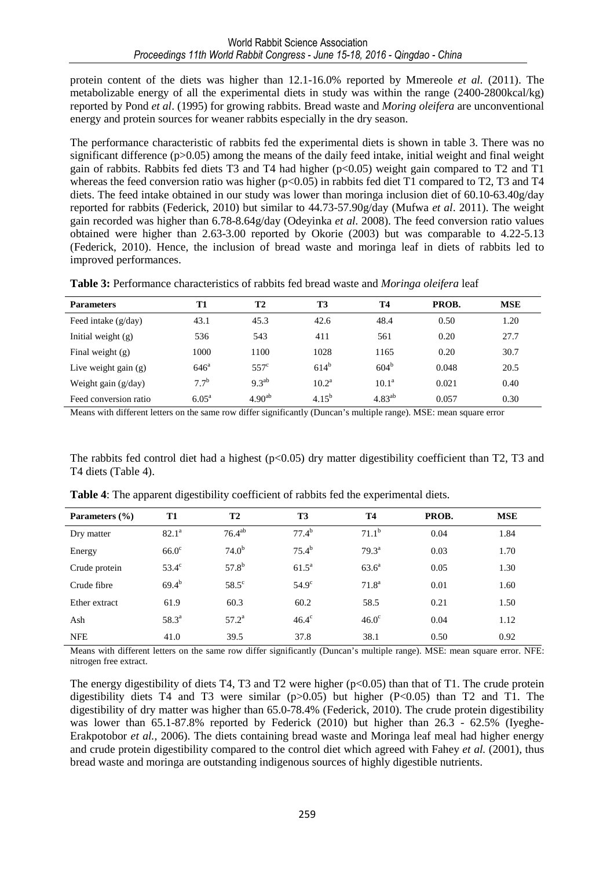protein content of the diets was higher than 12.1-16.0% reported by Mmereole *et al.* (2011). The metabolizable energy of all the experimental diets in study was within the range (2400-2800kcal/kg) reported by Pond *et al*. (1995) for growing rabbits. Bread waste and *Moring oleifera* are unconventional energy and protein sources for weaner rabbits especially in the dry season.

The performance characteristic of rabbits fed the experimental diets is shown in table 3. There was no significant difference (p>0.05) among the means of the daily feed intake, initial weight and final weight gain of rabbits. Rabbits fed diets T3 and T4 had higher  $(p<0.05)$  weight gain compared to T2 and T1 whereas the feed conversion ratio was higher  $(p<0.05)$  in rabbits fed diet T1 compared to T2, T3 and T4 diets. The feed intake obtained in our study was lower than moringa inclusion diet of 60.10-63.40g/day reported for rabbits (Federick, 2010) but similar to 44.73-57.90g/day (Mufwa *et al*. 2011). The weight gain recorded was higher than 6.78-8.64g/day (Odeyinka *et al.* 2008). The feed conversion ratio values obtained were higher than 2.63-3.00 reported by Okorie (2003) but was comparable to 4.22-5.13 (Federick, 2010). Hence, the inclusion of bread waste and moringa leaf in diets of rabbits led to improved performances.

| Table 3: Performance characteristics of rabbits fed bread waste and Moringa oleifera leaf |  |  |
|-------------------------------------------------------------------------------------------|--|--|
|-------------------------------------------------------------------------------------------|--|--|

| <b>Parameters</b>      | T1                 | <b>T2</b>     | T3         | <b>T4</b>   | PROB. | <b>MSE</b> |
|------------------------|--------------------|---------------|------------|-------------|-------|------------|
| Feed intake $(g/day)$  | 43.1               | 45.3          | 42.6       | 48.4        | 0.50  | 1.20       |
| Initial weight $(g)$   | 536                | 543           | 411        | 561         | 0.20  | 27.7       |
| Final weight $(g)$     | 1000               | 1100          | 1028       | 1165        | 0.20  | 30.7       |
| Live weight gain $(g)$ | $646^{\mathrm{a}}$ | $557^{\circ}$ | $614^{b}$  | $604^{b}$   | 0.048 | 20.5       |
| Weight gain $(g/day)$  | 7.7 <sup>b</sup>   | $9.3^{ab}$    | $10.2^a$   | $10.1^a$    | 0.021 | 0.40       |
| Feed conversion ratio  | $6.05^{\rm a}$     | $4.90^{ab}$   | $4.15^{b}$ | $4.83^{ab}$ | 0.057 | 0.30       |

Means with different letters on the same row differ significantly (Duncan's multiple range). MSE: mean square error

The rabbits fed control diet had a highest ( $p<0.05$ ) dry matter digestibility coefficient than T2, T3 and T4 diets (Table 4).

| Parameters $(\% )$ | T1                | <b>T2</b>         | T3                | <b>T4</b>         | PROB. | <b>MSE</b> |  |
|--------------------|-------------------|-------------------|-------------------|-------------------|-------|------------|--|
| Dry matter         | 82.1 <sup>a</sup> | $76.4^{ab}$       | $77.4^{\rm b}$    | $71.1^b$          | 0.04  | 1.84       |  |
| Energy             | $66.0^\circ$      | 74.0 <sup>b</sup> | $75.4^{\rm b}$    | $79.3^{\text{a}}$ | 0.03  | 1.70       |  |
| Crude protein      | $53.4^\circ$      | $57.8^{b}$        | 61.5 <sup>a</sup> | $63.6^{\circ}$    | 0.05  | 1.30       |  |
| Crude fibre        | $69.4^{b}$        | $58.5^\circ$      | $54.9^\circ$      | $71.8^{\rm a}$    | 0.01  | 1.60       |  |
| Ether extract      | 61.9              | 60.3              | 60.2              | 58.5              | 0.21  | 1.50       |  |
| Ash                | $58.3^{\circ}$    | $57.2^{\rm a}$    | $46.4^\circ$      | $46.0^\circ$      | 0.04  | 1.12       |  |
| <b>NFE</b>         | 41.0              | 39.5              | 37.8              | 38.1              | 0.50  | 0.92       |  |

**Table 4**: The apparent digestibility coefficient of rabbits fed the experimental diets.

Means with different letters on the same row differ significantly (Duncan's multiple range). MSE: mean square error. NFE: nitrogen free extract.

The energy digestibility of diets T4, T3 and T2 were higher  $(p<0.05)$  than that of T1. The crude protein digestibility diets T4 and T3 were similar  $(p>0.05)$  but higher  $(P<0.05)$  than T2 and T1. The digestibility of dry matter was higher than 65.0-78.4% (Federick, 2010). The crude protein digestibility was lower than 65.1-87.8% reported by Federick (2010) but higher than 26.3 - 62.5% (Iyeghe-Erakpotobor *et al.,* 2006). The diets containing bread waste and Moringa leaf meal had higher energy and crude protein digestibility compared to the control diet which agreed with Fahey *et al.* (2001), thus bread waste and moringa are outstanding indigenous sources of highly digestible nutrients.